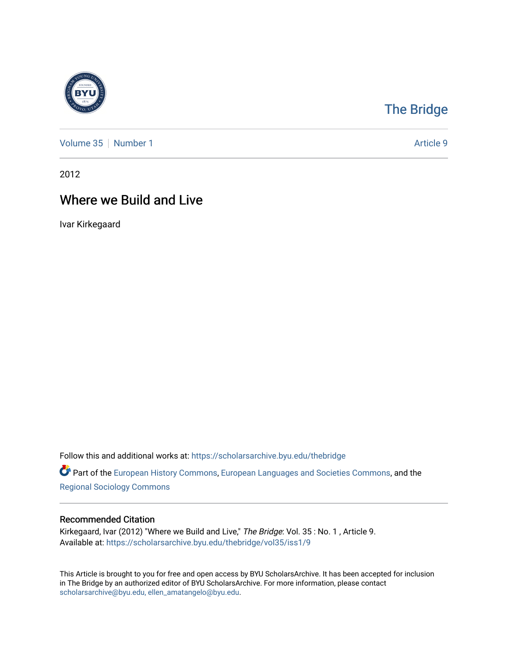

## [The Bridge](https://scholarsarchive.byu.edu/thebridge)

[Volume 35](https://scholarsarchive.byu.edu/thebridge/vol35) [Number 1](https://scholarsarchive.byu.edu/thebridge/vol35/iss1) Article 9

2012

## Where we Build and Live

Ivar Kirkegaard

Follow this and additional works at: [https://scholarsarchive.byu.edu/thebridge](https://scholarsarchive.byu.edu/thebridge?utm_source=scholarsarchive.byu.edu%2Fthebridge%2Fvol35%2Fiss1%2F9&utm_medium=PDF&utm_campaign=PDFCoverPages) 

**Part of the [European History Commons](http://network.bepress.com/hgg/discipline/492?utm_source=scholarsarchive.byu.edu%2Fthebridge%2Fvol35%2Fiss1%2F9&utm_medium=PDF&utm_campaign=PDFCoverPages), [European Languages and Societies Commons,](http://network.bepress.com/hgg/discipline/482?utm_source=scholarsarchive.byu.edu%2Fthebridge%2Fvol35%2Fiss1%2F9&utm_medium=PDF&utm_campaign=PDFCoverPages) and the** [Regional Sociology Commons](http://network.bepress.com/hgg/discipline/427?utm_source=scholarsarchive.byu.edu%2Fthebridge%2Fvol35%2Fiss1%2F9&utm_medium=PDF&utm_campaign=PDFCoverPages) 

## Recommended Citation

Kirkegaard, Ivar (2012) "Where we Build and Live," The Bridge: Vol. 35: No. 1, Article 9. Available at: [https://scholarsarchive.byu.edu/thebridge/vol35/iss1/9](https://scholarsarchive.byu.edu/thebridge/vol35/iss1/9?utm_source=scholarsarchive.byu.edu%2Fthebridge%2Fvol35%2Fiss1%2F9&utm_medium=PDF&utm_campaign=PDFCoverPages) 

This Article is brought to you for free and open access by BYU ScholarsArchive. It has been accepted for inclusion in The Bridge by an authorized editor of BYU ScholarsArchive. For more information, please contact [scholarsarchive@byu.edu, ellen\\_amatangelo@byu.edu](mailto:scholarsarchive@byu.edu,%20ellen_amatangelo@byu.edu).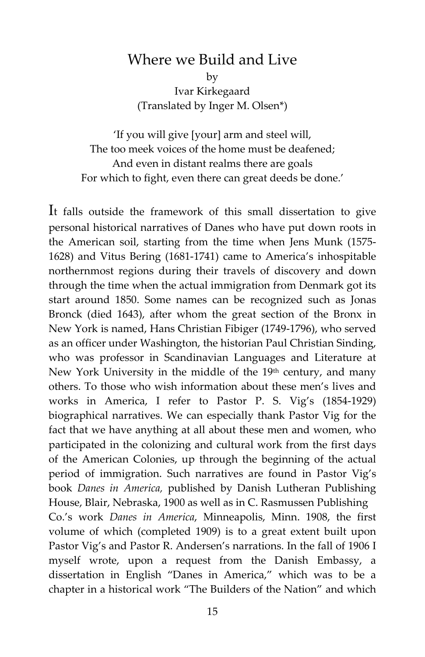## Where we Build and Live

by Ivar Kirkegaard (Translated by Inger M. Olsen\*)

'If you will give [your] arm and steel will, The too meek voices of the home must be deafened; And even in distant realms there are goals For which to fight, even there can great deeds be done.'

It falls outside the framework of this small dissertation to give personal historical narratives of Danes who have put down roots in the American soil, starting from the time when Jens Munk (1575- 1628) and Vitus Bering (1681-1741) came to America's inhospitable northernmost regions during their travels of discovery and down through the time when the actual immigration from Denmark got its start around 1850. Some names can be recognized such as Jonas Bronck (died 1643), after whom the great section of the Bronx in New York is named, Hans Christian Fibiger (1749-1796), who served as an officer under Washington, the historian Paul Christian Sinding, who was professor in Scandinavian Languages and Literature at New York University in the middle of the 19th century, and many others. To those who wish information about these men's lives and works in America, I refer to Pastor P. S. Vig's (1854-1929) biographical narratives. We can especially thank Pastor Vig for the fact that we have anything at all about these men and women, who participated in the colonizing and cultural work from the first days of the American Colonies, up through the beginning of the actual period of immigration. Such narratives are found in Pastor Vig's book *Danes in America,* published by Danish Lutheran Publishing House, Blair, Nebraska, 1900 as well as in C. Rasmussen Publishing Co.'s work *Danes in America*, Minneapolis, Minn. 1908, the first volume of which (completed 1909) is to a great extent built upon Pastor Vig's and Pastor R. Andersen's narrations. In the fall of 1906 I myself wrote, upon a request from the Danish Embassy, a dissertation in English "Danes in America," which was to be a chapter in a historical work "The Builders of the Nation" and which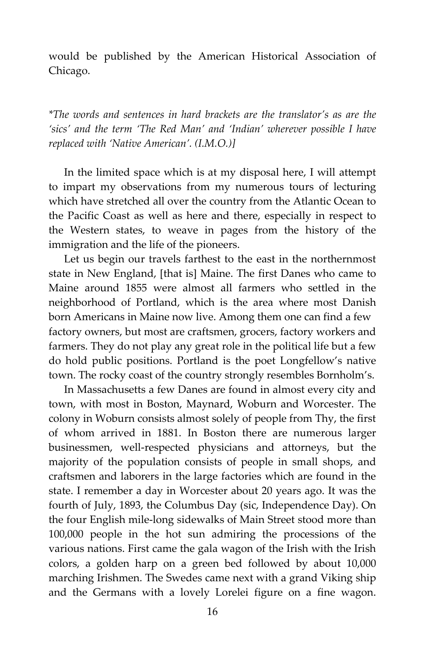would be published by the American Historical Association of Chicago.

*\*The words and sentences in hard brackets are the translator's as are the 'sics' and the term 'The Red Man' and 'Indian' wherever possible I have replaced with 'Native American'. (I.M.O.)]*

In the limited space which is at my disposal here, I will attempt to impart my observations from my numerous tours of lecturing which have stretched all over the country from the Atlantic Ocean to the Pacific Coast as well as here and there, especially in respect to the Western states, to weave in pages from the history of the immigration and the life of the pioneers.

Let us begin our travels farthest to the east in the northernmost state in New England, [that is] Maine. The first Danes who came to Maine around 1855 were almost all farmers who settled in the neighborhood of Portland, which is the area where most Danish born Americans in Maine now live. Among them one can find a few factory owners, but most are craftsmen, grocers, factory workers and farmers. They do not play any great role in the political life but a few do hold public positions. Portland is the poet Longfellow's native town. The rocky coast of the country strongly resembles Bornholm's.

In Massachusetts a few Danes are found in almost every city and town, with most in Boston, Maynard, Woburn and Worcester. The colony in Woburn consists almost solely of people from Thy, the first of whom arrived in 1881. In Boston there are numerous larger businessmen, well-respected physicians and attorneys, but the majority of the population consists of people in small shops, and craftsmen and laborers in the large factories which are found in the state. I remember a day in Worcester about 20 years ago. It was the fourth of July, 1893, the Columbus Day (sic, Independence Day). On the four English mile-long sidewalks of Main Street stood more than 100,000 people in the hot sun admiring the processions of the various nations. First came the gala wagon of the Irish with the Irish colors, a golden harp on a green bed followed by about 10,000 marching Irishmen. The Swedes came next with a grand Viking ship and the Germans with a lovely Lorelei figure on a fine wagon.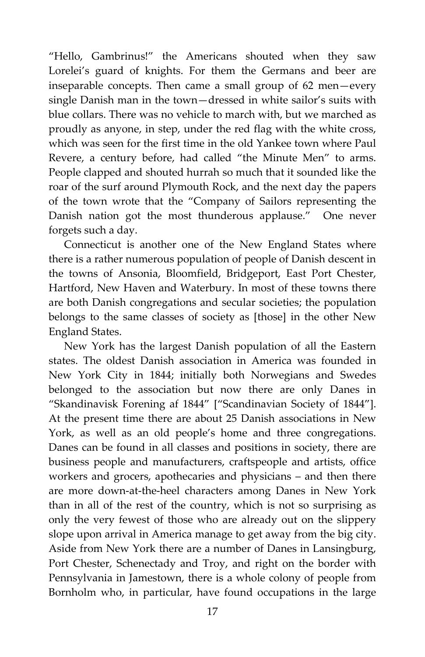"Hello, Gambrinus!" the Americans shouted when they saw Lorelei's guard of knights. For them the Germans and beer are inseparable concepts. Then came a small group of 62 men—every single Danish man in the town—dressed in white sailor's suits with blue collars. There was no vehicle to march with, but we marched as proudly as anyone, in step, under the red flag with the white cross, which was seen for the first time in the old Yankee town where Paul Revere, a century before, had called "the Minute Men" to arms. People clapped and shouted hurrah so much that it sounded like the roar of the surf around Plymouth Rock, and the next day the papers of the town wrote that the "Company of Sailors representing the Danish nation got the most thunderous applause." One never forgets such a day.

Connecticut is another one of the New England States where there is a rather numerous population of people of Danish descent in the towns of Ansonia, Bloomfield, Bridgeport, East Port Chester, Hartford, New Haven and Waterbury. In most of these towns there are both Danish congregations and secular societies; the population belongs to the same classes of society as [those] in the other New England States.

New York has the largest Danish population of all the Eastern states. The oldest Danish association in America was founded in New York City in 1844; initially both Norwegians and Swedes belonged to the association but now there are only Danes in "Skandinavisk Forening af 1844" ["Scandinavian Society of 1844"]. At the present time there are about 25 Danish associations in New York, as well as an old people's home and three congregations. Danes can be found in all classes and positions in society, there are business people and manufacturers, craftspeople and artists, office workers and grocers, apothecaries and physicians – and then there are more down-at-the-heel characters among Danes in New York than in all of the rest of the country, which is not so surprising as only the very fewest of those who are already out on the slippery slope upon arrival in America manage to get away from the big city. Aside from New York there are a number of Danes in Lansingburg, Port Chester, Schenectady and Troy, and right on the border with Pennsylvania in Jamestown, there is a whole colony of people from Bornholm who, in particular, have found occupations in the large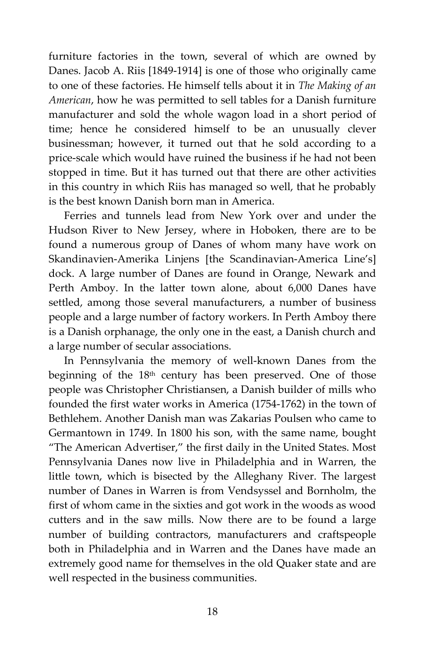furniture factories in the town, several of which are owned by Danes. Jacob A. Riis [1849-1914] is one of those who originally came to one of these factories. He himself tells about it in *The Making of an American*, how he was permitted to sell tables for a Danish furniture manufacturer and sold the whole wagon load in a short period of time; hence he considered himself to be an unusually clever businessman; however, it turned out that he sold according to a price-scale which would have ruined the business if he had not been stopped in time. But it has turned out that there are other activities in this country in which Riis has managed so well, that he probably is the best known Danish born man in America.

Ferries and tunnels lead from New York over and under the Hudson River to New Jersey, where in Hoboken, there are to be found a numerous group of Danes of whom many have work on Skandinavien-Amerika Linjens [the Scandinavian-America Line's] dock. A large number of Danes are found in Orange, Newark and Perth Amboy. In the latter town alone, about 6,000 Danes have settled, among those several manufacturers, a number of business people and a large number of factory workers. In Perth Amboy there is a Danish orphanage, the only one in the east, a Danish church and a large number of secular associations.

In Pennsylvania the memory of well-known Danes from the beginning of the 18<sup>th</sup> century has been preserved. One of those people was Christopher Christiansen, a Danish builder of mills who founded the first water works in America (1754-1762) in the town of Bethlehem. Another Danish man was Zakarias Poulsen who came to Germantown in 1749. In 1800 his son, with the same name, bought "The American Advertiser," the first daily in the United States. Most Pennsylvania Danes now live in Philadelphia and in Warren, the little town, which is bisected by the Alleghany River. The largest number of Danes in Warren is from Vendsyssel and Bornholm, the first of whom came in the sixties and got work in the woods as wood cutters and in the saw mills. Now there are to be found a large number of building contractors, manufacturers and craftspeople both in Philadelphia and in Warren and the Danes have made an extremely good name for themselves in the old Quaker state and are well respected in the business communities.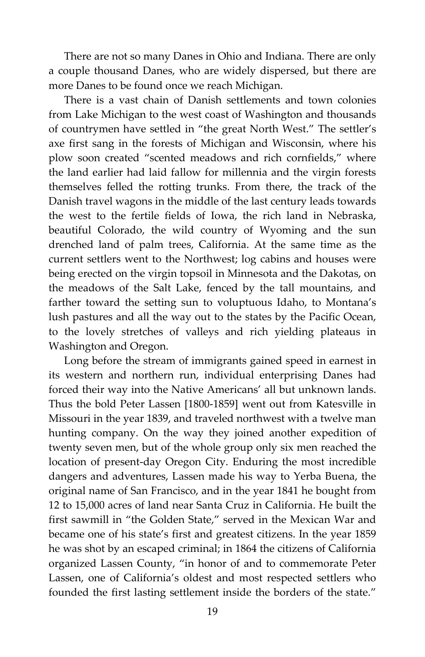There are not so many Danes in Ohio and Indiana. There are only a couple thousand Danes, who are widely dispersed, but there are more Danes to be found once we reach Michigan.

There is a vast chain of Danish settlements and town colonies from Lake Michigan to the west coast of Washington and thousands of countrymen have settled in "the great North West." The settler's axe first sang in the forests of Michigan and Wisconsin, where his plow soon created "scented meadows and rich cornfields," where the land earlier had laid fallow for millennia and the virgin forests themselves felled the rotting trunks. From there, the track of the Danish travel wagons in the middle of the last century leads towards the west to the fertile fields of Iowa, the rich land in Nebraska, beautiful Colorado, the wild country of Wyoming and the sun drenched land of palm trees, California. At the same time as the current settlers went to the Northwest; log cabins and houses were being erected on the virgin topsoil in Minnesota and the Dakotas, on the meadows of the Salt Lake, fenced by the tall mountains, and farther toward the setting sun to voluptuous Idaho, to Montana's lush pastures and all the way out to the states by the Pacific Ocean, to the lovely stretches of valleys and rich yielding plateaus in Washington and Oregon.

Long before the stream of immigrants gained speed in earnest in its western and northern run, individual enterprising Danes had forced their way into the Native Americans' all but unknown lands. Thus the bold Peter Lassen [1800-1859] went out from Katesville in Missouri in the year 1839, and traveled northwest with a twelve man hunting company. On the way they joined another expedition of twenty seven men, but of the whole group only six men reached the location of present-day Oregon City. Enduring the most incredible dangers and adventures, Lassen made his way to Yerba Buena, the original name of San Francisco, and in the year 1841 he bought from 12 to 15,000 acres of land near Santa Cruz in California. He built the first sawmill in "the Golden State," served in the Mexican War and became one of his state's first and greatest citizens. In the year 1859 he was shot by an escaped criminal; in 1864 the citizens of California organized Lassen County, "in honor of and to commemorate Peter Lassen, one of California's oldest and most respected settlers who founded the first lasting settlement inside the borders of the state."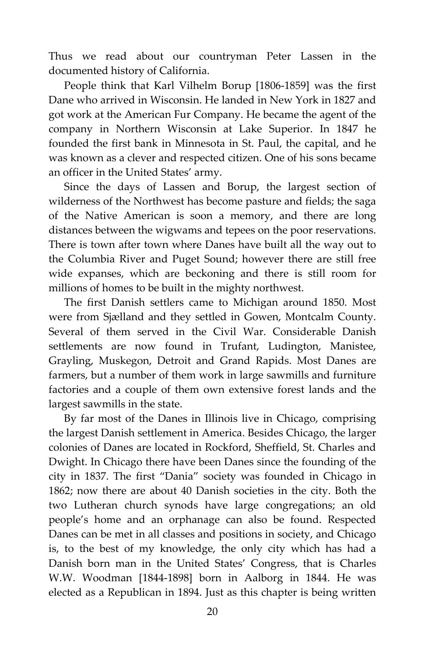Thus we read about our countryman Peter Lassen in the documented history of California.

People think that Karl Vilhelm Borup [1806-1859] was the first Dane who arrived in Wisconsin. He landed in New York in 1827 and got work at the American Fur Company. He became the agent of the company in Northern Wisconsin at Lake Superior. In 1847 he founded the first bank in Minnesota in St. Paul, the capital, and he was known as a clever and respected citizen. One of his sons became an officer in the United States' army.

Since the days of Lassen and Borup, the largest section of wilderness of the Northwest has become pasture and fields; the saga of the Native American is soon a memory, and there are long distances between the wigwams and tepees on the poor reservations. There is town after town where Danes have built all the way out to the Columbia River and Puget Sound; however there are still free wide expanses, which are beckoning and there is still room for millions of homes to be built in the mighty northwest.

The first Danish settlers came to Michigan around 1850. Most were from Sjælland and they settled in Gowen, Montcalm County. Several of them served in the Civil War. Considerable Danish settlements are now found in Trufant, Ludington, Manistee, Grayling, Muskegon, Detroit and Grand Rapids. Most Danes are farmers, but a number of them work in large sawmills and furniture factories and a couple of them own extensive forest lands and the largest sawmills in the state.

By far most of the Danes in Illinois live in Chicago, comprising the largest Danish settlement in America. Besides Chicago, the larger colonies of Danes are located in Rockford, Sheffield, St. Charles and Dwight. In Chicago there have been Danes since the founding of the city in 1837. The first "Dania" society was founded in Chicago in 1862; now there are about 40 Danish societies in the city. Both the two Lutheran church synods have large congregations; an old people's home and an orphanage can also be found. Respected Danes can be met in all classes and positions in society, and Chicago is, to the best of my knowledge, the only city which has had a Danish born man in the United States' Congress, that is Charles W.W. Woodman [1844-1898] born in Aalborg in 1844. He was elected as a Republican in 1894. Just as this chapter is being written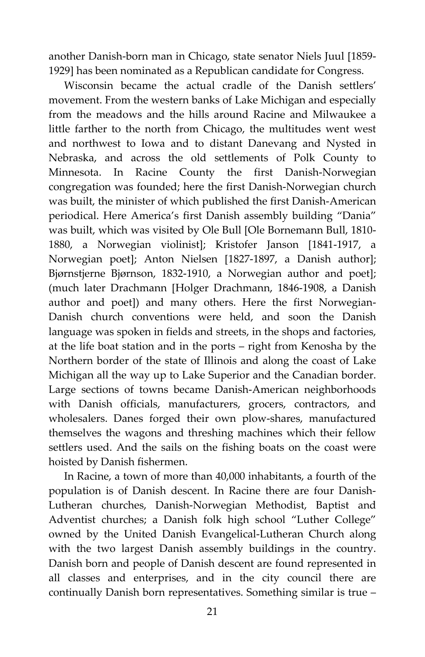another Danish-born man in Chicago, state senator Niels Juul [1859- 1929] has been nominated as a Republican candidate for Congress.

Wisconsin became the actual cradle of the Danish settlers' movement. From the western banks of Lake Michigan and especially from the meadows and the hills around Racine and Milwaukee a little farther to the north from Chicago, the multitudes went west and northwest to Iowa and to distant Danevang and Nysted in Nebraska, and across the old settlements of Polk County to Minnesota. In Racine County the first Danish-Norwegian congregation was founded; here the first Danish-Norwegian church was built, the minister of which published the first Danish-American periodical. Here America's first Danish assembly building "Dania" was built, which was visited by Ole Bull [Ole Bornemann Bull, 1810- 1880, a Norwegian violinist]; Kristofer Janson [1841-1917, a Norwegian poet]; Anton Nielsen [1827-1897, a Danish author]; Bjørnstjerne Bjørnson, 1832-1910, a Norwegian author and poet]; (much later Drachmann [Holger Drachmann, 1846-1908, a Danish author and poet]) and many others. Here the first Norwegian-Danish church conventions were held, and soon the Danish language was spoken in fields and streets, in the shops and factories, at the life boat station and in the ports – right from Kenosha by the Northern border of the state of Illinois and along the coast of Lake Michigan all the way up to Lake Superior and the Canadian border. Large sections of towns became Danish-American neighborhoods with Danish officials, manufacturers, grocers, contractors, and wholesalers. Danes forged their own plow-shares, manufactured themselves the wagons and threshing machines which their fellow settlers used. And the sails on the fishing boats on the coast were hoisted by Danish fishermen.

In Racine, a town of more than 40,000 inhabitants, a fourth of the population is of Danish descent. In Racine there are four Danish-Lutheran churches, Danish-Norwegian Methodist, Baptist and Adventist churches; a Danish folk high school "Luther College" owned by the United Danish Evangelical-Lutheran Church along with the two largest Danish assembly buildings in the country. Danish born and people of Danish descent are found represented in all classes and enterprises, and in the city council there are continually Danish born representatives. Something similar is true –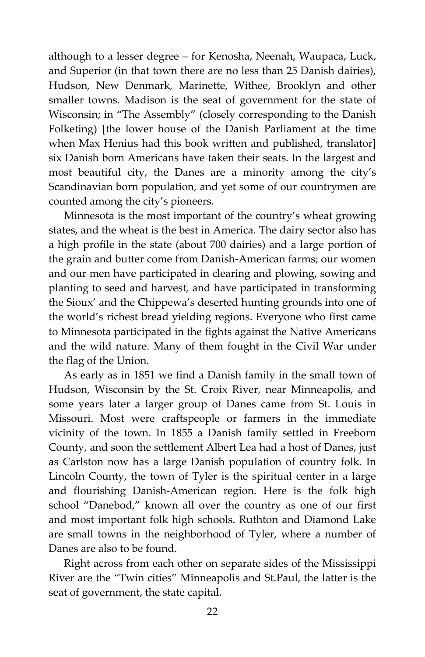although to a lesser degree – for Kenosha, Neenah, Waupaca, Luck, and Superior (in that town there are no less than 25 Danish dairies), Hudson, New Denmark, Marinette, Withee, Brooklyn and other smaller towns. Madison is the seat of government for the state of Wisconsin; in "The Assembly" (closely corresponding to the Danish Folketing) [the lower house of the Danish Parliament at the time when Max Henius had this book written and published, translator] six Danish born Americans have taken their seats. In the largest and most beautiful city, the Danes are a minority among the city's Scandinavian born population, and yet some of our countrymen are counted among the city's pioneers.

Minnesota is the most important of the country's wheat growing states, and the wheat is the best in America. The dairy sector also has a high profile in the state (about 700 dairies) and a large portion of the grain and butter come from Danish-American farms; our women and our men have participated in clearing and plowing, sowing and planting to seed and harvest, and have participated in transforming the Sioux' and the Chippewa's deserted hunting grounds into one of the world's richest bread yielding regions. Everyone who first came to Minnesota participated in the fights against the Native Americans and the wild nature. Many of them fought in the Civil War under the flag of the Union.

As early as in 1851 we find a Danish family in the small town of Hudson, Wisconsin by the St. Croix River, near Minneapolis, and some years later a larger group of Danes came from St. Louis in Missouri. Most were craftspeople or farmers in the immediate vicinity of the town. In 1855 a Danish family settled in Freeborn County, and soon the settlement Albert Lea had a host of Danes, just as Carlston now has a large Danish population of country folk. In Lincoln County, the town of Tyler is the spiritual center in a large and flourishing Danish-American region. Here is the folk high school "Danebod," known all over the country as one of our first and most important folk high schools. Ruthton and Diamond Lake are small towns in the neighborhood of Tyler, where a number of Danes are also to be found.

Right across from each other on separate sides of the Mississippi River are the "Twin cities" Minneapolis and St.Paul, the latter is the seat of government, the state capital.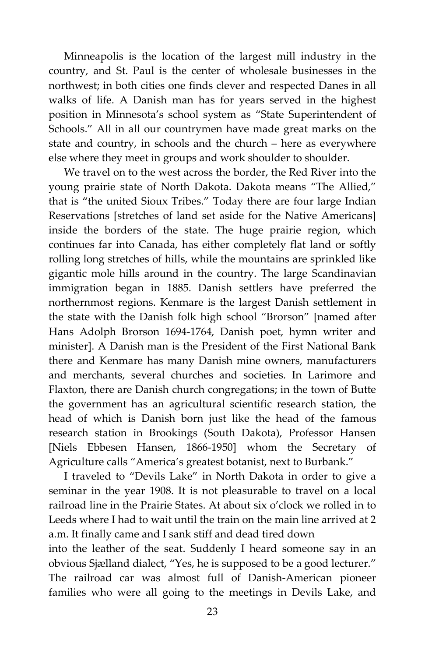Minneapolis is the location of the largest mill industry in the country, and St. Paul is the center of wholesale businesses in the northwest; in both cities one finds clever and respected Danes in all walks of life. A Danish man has for years served in the highest position in Minnesota's school system as "State Superintendent of Schools." All in all our countrymen have made great marks on the state and country, in schools and the church – here as everywhere else where they meet in groups and work shoulder to shoulder.

We travel on to the west across the border, the Red River into the young prairie state of North Dakota. Dakota means "The Allied," that is "the united Sioux Tribes." Today there are four large Indian Reservations [stretches of land set aside for the Native Americans] inside the borders of the state. The huge prairie region, which continues far into Canada, has either completely flat land or softly rolling long stretches of hills, while the mountains are sprinkled like gigantic mole hills around in the country. The large Scandinavian immigration began in 1885. Danish settlers have preferred the northernmost regions. Kenmare is the largest Danish settlement in the state with the Danish folk high school "Brorson" [named after Hans Adolph Brorson 1694-1764, Danish poet, hymn writer and minister]. A Danish man is the President of the First National Bank there and Kenmare has many Danish mine owners, manufacturers and merchants, several churches and societies. In Larimore and Flaxton, there are Danish church congregations; in the town of Butte the government has an agricultural scientific research station, the head of which is Danish born just like the head of the famous research station in Brookings (South Dakota), Professor Hansen [Niels Ebbesen Hansen, 1866-1950] whom the Secretary of Agriculture calls "America's greatest botanist, next to Burbank."

I traveled to "Devils Lake" in North Dakota in order to give a seminar in the year 1908. It is not pleasurable to travel on a local railroad line in the Prairie States. At about six o'clock we rolled in to Leeds where I had to wait until the train on the main line arrived at 2 a.m. It finally came and I sank stiff and dead tired down

into the leather of the seat. Suddenly I heard someone say in an obvious Sjælland dialect, "Yes, he is supposed to be a good lecturer." The railroad car was almost full of Danish-American pioneer families who were all going to the meetings in Devils Lake, and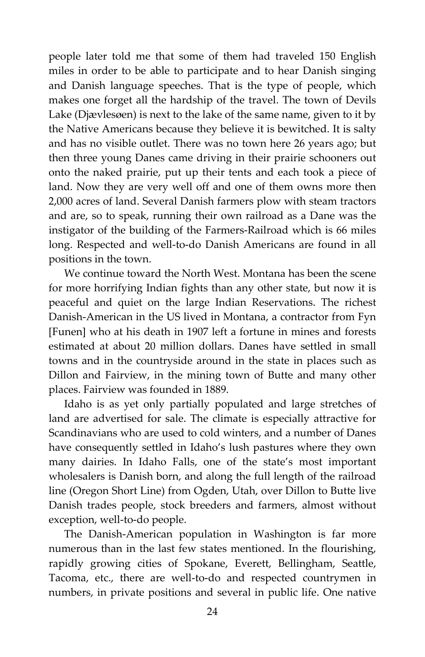people later told me that some of them had traveled 150 English miles in order to be able to participate and to hear Danish singing and Danish language speeches. That is the type of people, which makes one forget all the hardship of the travel. The town of Devils Lake (Djævlesøen) is next to the lake of the same name, given to it by the Native Americans because they believe it is bewitched. It is salty and has no visible outlet. There was no town here 26 years ago; but then three young Danes came driving in their prairie schooners out onto the naked prairie, put up their tents and each took a piece of land. Now they are very well off and one of them owns more then 2,000 acres of land. Several Danish farmers plow with steam tractors and are, so to speak, running their own railroad as a Dane was the instigator of the building of the Farmers-Railroad which is 66 miles long. Respected and well-to-do Danish Americans are found in all positions in the town.

We continue toward the North West. Montana has been the scene for more horrifying Indian fights than any other state, but now it is peaceful and quiet on the large Indian Reservations. The richest Danish-American in the US lived in Montana, a contractor from Fyn [Funen] who at his death in 1907 left a fortune in mines and forests estimated at about 20 million dollars. Danes have settled in small towns and in the countryside around in the state in places such as Dillon and Fairview, in the mining town of Butte and many other places. Fairview was founded in 1889.

Idaho is as yet only partially populated and large stretches of land are advertised for sale. The climate is especially attractive for Scandinavians who are used to cold winters, and a number of Danes have consequently settled in Idaho's lush pastures where they own many dairies. In Idaho Falls, one of the state's most important wholesalers is Danish born, and along the full length of the railroad line (Oregon Short Line) from Ogden, Utah, over Dillon to Butte live Danish trades people, stock breeders and farmers, almost without exception, well-to-do people.

The Danish-American population in Washington is far more numerous than in the last few states mentioned. In the flourishing, rapidly growing cities of Spokane, Everett, Bellingham, Seattle, Tacoma, etc., there are well-to-do and respected countrymen in numbers, in private positions and several in public life. One native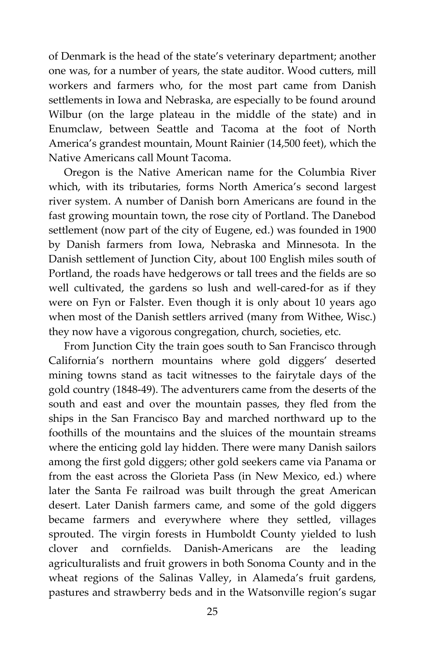of Denmark is the head of the state's veterinary department; another one was, for a number of years, the state auditor. Wood cutters, mill workers and farmers who, for the most part came from Danish settlements in Iowa and Nebraska, are especially to be found around Wilbur (on the large plateau in the middle of the state) and in Enumclaw, between Seattle and Tacoma at the foot of North America's grandest mountain, Mount Rainier (14,500 feet), which the Native Americans call Mount Tacoma.

Oregon is the Native American name for the Columbia River which, with its tributaries, forms North America's second largest river system. A number of Danish born Americans are found in the fast growing mountain town, the rose city of Portland. The Danebod settlement (now part of the city of Eugene, ed.) was founded in 1900 by Danish farmers from Iowa, Nebraska and Minnesota. In the Danish settlement of Junction City, about 100 English miles south of Portland, the roads have hedgerows or tall trees and the fields are so well cultivated, the gardens so lush and well-cared-for as if they were on Fyn or Falster. Even though it is only about 10 years ago when most of the Danish settlers arrived (many from Withee, Wisc.) they now have a vigorous congregation, church, societies, etc.

From Junction City the train goes south to San Francisco through California's northern mountains where gold diggers' deserted mining towns stand as tacit witnesses to the fairytale days of the gold country (1848-49). The adventurers came from the deserts of the south and east and over the mountain passes, they fled from the ships in the San Francisco Bay and marched northward up to the foothills of the mountains and the sluices of the mountain streams where the enticing gold lay hidden. There were many Danish sailors among the first gold diggers; other gold seekers came via Panama or from the east across the Glorieta Pass (in New Mexico, ed.) where later the Santa Fe railroad was built through the great American desert. Later Danish farmers came, and some of the gold diggers became farmers and everywhere where they settled, villages sprouted. The virgin forests in Humboldt County yielded to lush clover and cornfields. Danish-Americans are the leading agriculturalists and fruit growers in both Sonoma County and in the wheat regions of the Salinas Valley, in Alameda's fruit gardens, pastures and strawberry beds and in the Watsonville region's sugar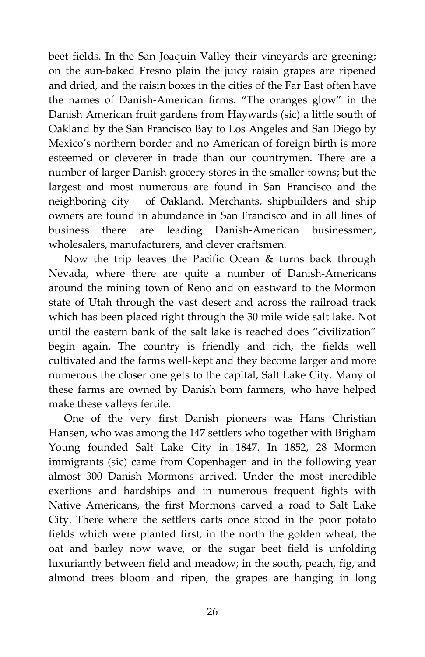beet fields. In the San Joaquin Valley their vineyards are greening; on the sun-baked Fresno plain the juicy raisin grapes are ripened and dried, and the raisin boxes in the cities of the Far East often have the names of Danish-American firms. "The oranges glow" in the Danish American fruit gardens from Haywards (sic) a little south of Oakland by the San Francisco Bay to Los Angeles and San Diego by Mexico's northern border and no American of foreign birth is more esteemed or cleverer in trade than our countrymen. There are a number of larger Danish grocery stores in the smaller towns; but the largest and most numerous are found in San Francisco and the neighboring city of Oakland. Merchants, shipbuilders and ship owners are found in abundance in San Francisco and in all lines of business there are leading Danish-American businessmen, wholesalers, manufacturers, and clever craftsmen.

Now the trip leaves the Pacific Ocean & turns back through Nevada, where there are quite a number of Danish-Americans around the mining town of Reno and on eastward to the Mormon state of Utah through the vast desert and across the railroad track which has been placed right through the 30 mile wide salt lake. Not until the eastern bank of the salt lake is reached does "civilization" begin again. The country is friendly and rich, the fields well cultivated and the farms well-kept and they become larger and more numerous the closer one gets to the capital, Salt Lake City. Many of these farms are owned by Danish born farmers, who have helped make these valleys fertile.

One of the very first Danish pioneers was Hans Christian Hansen, who was among the 147 settlers who together with Brigham Young founded Salt Lake City in 1847. In 1852, 28 Mormon immigrants (sic) came from Copenhagen and in the following year almost 300 Danish Mormons arrived. Under the most incredible exertions and hardships and in numerous frequent fights with Native Americans, the first Mormons carved a road to Salt Lake City. There where the settlers carts once stood in the poor potato fields which were planted first, in the north the golden wheat, the oat and barley now wave, or the sugar beet field is unfolding luxuriantly between field and meadow; in the south, peach, fig, and almond trees bloom and ripen, the grapes are hanging in long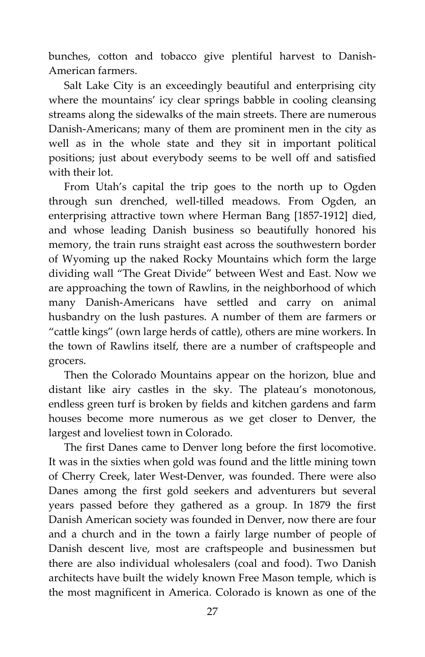bunches, cotton and tobacco give plentiful harvest to Danish-American farmers.

Salt Lake City is an exceedingly beautiful and enterprising city where the mountains' icy clear springs babble in cooling cleansing streams along the sidewalks of the main streets. There are numerous Danish-Americans; many of them are prominent men in the city as well as in the whole state and they sit in important political positions; just about everybody seems to be well off and satisfied with their lot.

From Utah's capital the trip goes to the north up to Ogden through sun drenched, well-tilled meadows. From Ogden, an enterprising attractive town where Herman Bang [1857-1912] died, and whose leading Danish business so beautifully honored his memory, the train runs straight east across the southwestern border of Wyoming up the naked Rocky Mountains which form the large dividing wall "The Great Divide" between West and East. Now we are approaching the town of Rawlins, in the neighborhood of which many Danish-Americans have settled and carry on animal husbandry on the lush pastures. A number of them are farmers or "cattle kings" (own large herds of cattle), others are mine workers. In the town of Rawlins itself, there are a number of craftspeople and grocers.

Then the Colorado Mountains appear on the horizon, blue and distant like airy castles in the sky. The plateau's monotonous, endless green turf is broken by fields and kitchen gardens and farm houses become more numerous as we get closer to Denver, the largest and loveliest town in Colorado.

The first Danes came to Denver long before the first locomotive. It was in the sixties when gold was found and the little mining town of Cherry Creek, later West-Denver, was founded. There were also Danes among the first gold seekers and adventurers but several years passed before they gathered as a group. In 1879 the first Danish American society was founded in Denver, now there are four and a church and in the town a fairly large number of people of Danish descent live, most are craftspeople and businessmen but there are also individual wholesalers (coal and food). Two Danish architects have built the widely known Free Mason temple, which is the most magnificent in America. Colorado is known as one of the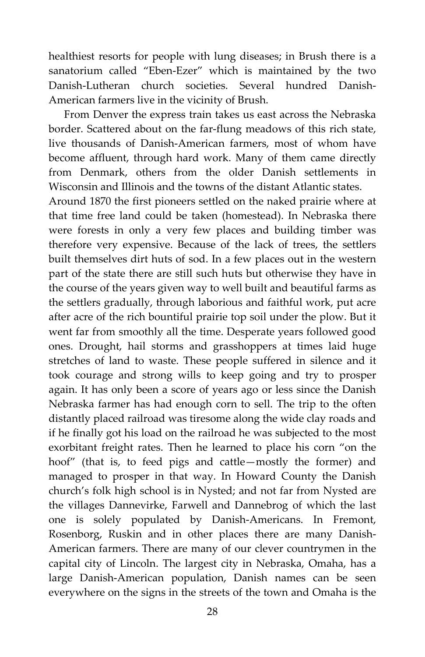healthiest resorts for people with lung diseases; in Brush there is a sanatorium called "Eben-Ezer" which is maintained by the two Danish-Lutheran church societies. Several hundred Danish-American farmers live in the vicinity of Brush.

From Denver the express train takes us east across the Nebraska border. Scattered about on the far-flung meadows of this rich state, live thousands of Danish-American farmers, most of whom have become affluent, through hard work. Many of them came directly from Denmark, others from the older Danish settlements in Wisconsin and Illinois and the towns of the distant Atlantic states.

Around 1870 the first pioneers settled on the naked prairie where at that time free land could be taken (homestead). In Nebraska there were forests in only a very few places and building timber was therefore very expensive. Because of the lack of trees, the settlers built themselves dirt huts of sod. In a few places out in the western part of the state there are still such huts but otherwise they have in the course of the years given way to well built and beautiful farms as the settlers gradually, through laborious and faithful work, put acre after acre of the rich bountiful prairie top soil under the plow. But it went far from smoothly all the time. Desperate years followed good ones. Drought, hail storms and grasshoppers at times laid huge stretches of land to waste. These people suffered in silence and it took courage and strong wills to keep going and try to prosper again. It has only been a score of years ago or less since the Danish Nebraska farmer has had enough corn to sell. The trip to the often distantly placed railroad was tiresome along the wide clay roads and if he finally got his load on the railroad he was subjected to the most exorbitant freight rates. Then he learned to place his corn "on the hoof" (that is, to feed pigs and cattle—mostly the former) and managed to prosper in that way. In Howard County the Danish church's folk high school is in Nysted; and not far from Nysted are the villages Dannevirke, Farwell and Dannebrog of which the last one is solely populated by Danish-Americans. In Fremont, Rosenborg, Ruskin and in other places there are many Danish-American farmers. There are many of our clever countrymen in the capital city of Lincoln. The largest city in Nebraska, Omaha, has a large Danish-American population, Danish names can be seen everywhere on the signs in the streets of the town and Omaha is the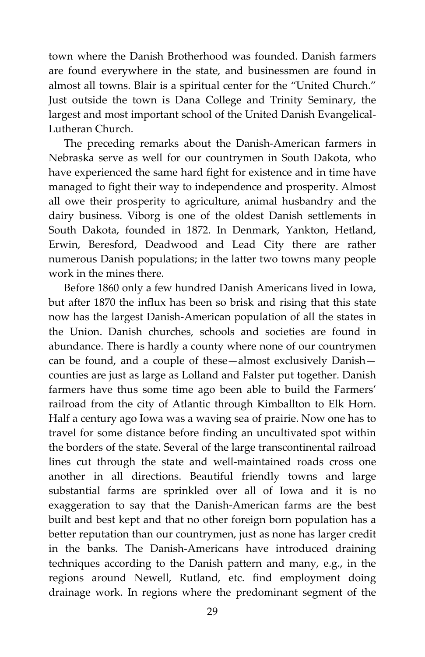town where the Danish Brotherhood was founded. Danish farmers are found everywhere in the state, and businessmen are found in almost all towns. Blair is a spiritual center for the "United Church." Just outside the town is Dana College and Trinity Seminary, the largest and most important school of the United Danish Evangelical-Lutheran Church.

The preceding remarks about the Danish-American farmers in Nebraska serve as well for our countrymen in South Dakota, who have experienced the same hard fight for existence and in time have managed to fight their way to independence and prosperity. Almost all owe their prosperity to agriculture, animal husbandry and the dairy business. Viborg is one of the oldest Danish settlements in South Dakota, founded in 1872. In Denmark, Yankton, Hetland, Erwin, Beresford, Deadwood and Lead City there are rather numerous Danish populations; in the latter two towns many people work in the mines there.

Before 1860 only a few hundred Danish Americans lived in Iowa, but after 1870 the influx has been so brisk and rising that this state now has the largest Danish-American population of all the states in the Union. Danish churches, schools and societies are found in abundance. There is hardly a county where none of our countrymen can be found, and a couple of these—almost exclusively Danish counties are just as large as Lolland and Falster put together. Danish farmers have thus some time ago been able to build the Farmers' railroad from the city of Atlantic through Kimballton to Elk Horn. Half a century ago Iowa was a waving sea of prairie. Now one has to travel for some distance before finding an uncultivated spot within the borders of the state. Several of the large transcontinental railroad lines cut through the state and well-maintained roads cross one another in all directions. Beautiful friendly towns and large substantial farms are sprinkled over all of Iowa and it is no exaggeration to say that the Danish-American farms are the best built and best kept and that no other foreign born population has a better reputation than our countrymen, just as none has larger credit in the banks. The Danish-Americans have introduced draining techniques according to the Danish pattern and many, e.g., in the regions around Newell, Rutland, etc. find employment doing drainage work. In regions where the predominant segment of the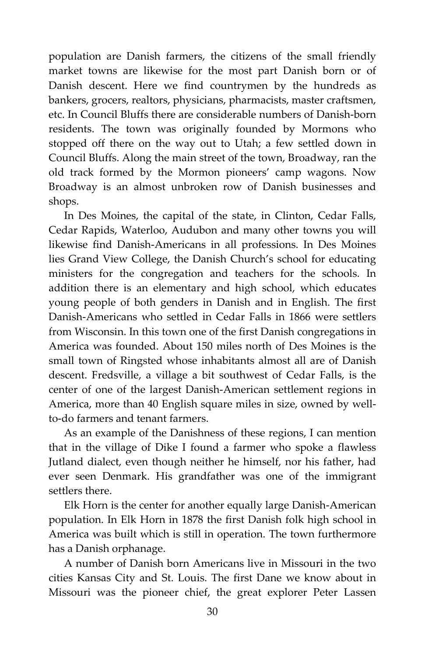population are Danish farmers, the citizens of the small friendly market towns are likewise for the most part Danish born or of Danish descent. Here we find countrymen by the hundreds as bankers, grocers, realtors, physicians, pharmacists, master craftsmen, etc. In Council Bluffs there are considerable numbers of Danish-born residents. The town was originally founded by Mormons who stopped off there on the way out to Utah; a few settled down in Council Bluffs. Along the main street of the town, Broadway, ran the old track formed by the Mormon pioneers' camp wagons. Now Broadway is an almost unbroken row of Danish businesses and shops.

In Des Moines, the capital of the state, in Clinton, Cedar Falls, Cedar Rapids, Waterloo, Audubon and many other towns you will likewise find Danish-Americans in all professions. In Des Moines lies Grand View College, the Danish Church's school for educating ministers for the congregation and teachers for the schools. In addition there is an elementary and high school, which educates young people of both genders in Danish and in English. The first Danish-Americans who settled in Cedar Falls in 1866 were settlers from Wisconsin. In this town one of the first Danish congregations in America was founded. About 150 miles north of Des Moines is the small town of Ringsted whose inhabitants almost all are of Danish descent. Fredsville, a village a bit southwest of Cedar Falls, is the center of one of the largest Danish-American settlement regions in America, more than 40 English square miles in size, owned by wellto-do farmers and tenant farmers.

As an example of the Danishness of these regions, I can mention that in the village of Dike I found a farmer who spoke a flawless Jutland dialect, even though neither he himself, nor his father, had ever seen Denmark. His grandfather was one of the immigrant settlers there.

Elk Horn is the center for another equally large Danish-American population. In Elk Horn in 1878 the first Danish folk high school in America was built which is still in operation. The town furthermore has a Danish orphanage.

A number of Danish born Americans live in Missouri in the two cities Kansas City and St. Louis. The first Dane we know about in Missouri was the pioneer chief, the great explorer Peter Lassen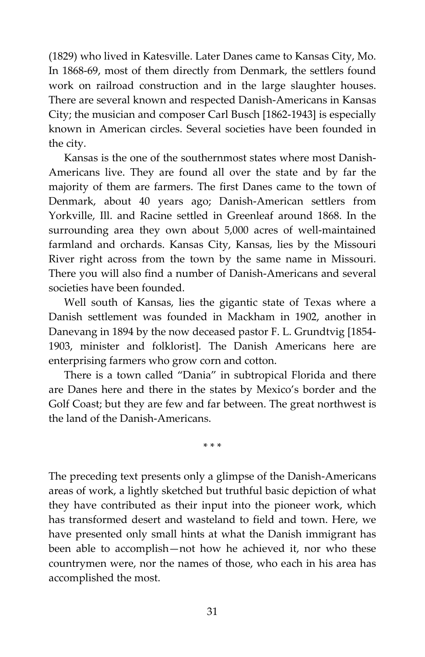(1829) who lived in Katesville. Later Danes came to Kansas City, Mo. In 1868-69, most of them directly from Denmark, the settlers found work on railroad construction and in the large slaughter houses. There are several known and respected Danish-Americans in Kansas City; the musician and composer Carl Busch [1862-1943] is especially known in American circles. Several societies have been founded in the city.

Kansas is the one of the southernmost states where most Danish-Americans live. They are found all over the state and by far the majority of them are farmers. The first Danes came to the town of Denmark, about 40 years ago; Danish-American settlers from Yorkville, Ill. and Racine settled in Greenleaf around 1868. In the surrounding area they own about 5,000 acres of well-maintained farmland and orchards. Kansas City, Kansas, lies by the Missouri River right across from the town by the same name in Missouri. There you will also find a number of Danish-Americans and several societies have been founded.

Well south of Kansas, lies the gigantic state of Texas where a Danish settlement was founded in Mackham in 1902, another in Danevang in 1894 by the now deceased pastor F. L. Grundtvig [1854- 1903, minister and folklorist]. The Danish Americans here are enterprising farmers who grow corn and cotton.

There is a town called "Dania" in subtropical Florida and there are Danes here and there in the states by Mexico's border and the Golf Coast; but they are few and far between. The great northwest is the land of the Danish-Americans.

\* \* \*

The preceding text presents only a glimpse of the Danish-Americans areas of work, a lightly sketched but truthful basic depiction of what they have contributed as their input into the pioneer work, which has transformed desert and wasteland to field and town. Here, we have presented only small hints at what the Danish immigrant has been able to accomplish—not how he achieved it, nor who these countrymen were, nor the names of those, who each in his area has accomplished the most.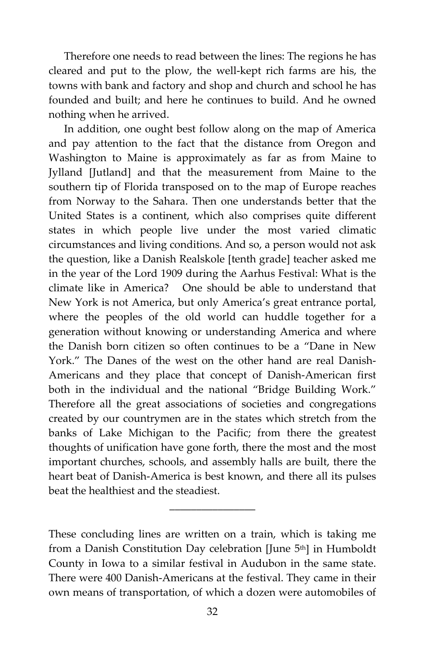Therefore one needs to read between the lines: The regions he has cleared and put to the plow, the well-kept rich farms are his, the towns with bank and factory and shop and church and school he has founded and built; and here he continues to build. And he owned nothing when he arrived.

In addition, one ought best follow along on the map of America and pay attention to the fact that the distance from Oregon and Washington to Maine is approximately as far as from Maine to Jylland [Jutland] and that the measurement from Maine to the southern tip of Florida transposed on to the map of Europe reaches from Norway to the Sahara. Then one understands better that the United States is a continent, which also comprises quite different states in which people live under the most varied climatic circumstances and living conditions. And so, a person would not ask the question, like a Danish Realskole [tenth grade] teacher asked me in the year of the Lord 1909 during the Aarhus Festival: What is the climate like in America? One should be able to understand that New York is not America, but only America's great entrance portal, where the peoples of the old world can huddle together for a generation without knowing or understanding America and where the Danish born citizen so often continues to be a "Dane in New York." The Danes of the west on the other hand are real Danish-Americans and they place that concept of Danish-American first both in the individual and the national "Bridge Building Work." Therefore all the great associations of societies and congregations created by our countrymen are in the states which stretch from the banks of Lake Michigan to the Pacific; from there the greatest thoughts of unification have gone forth, there the most and the most important churches, schools, and assembly halls are built, there the heart beat of Danish-America is best known, and there all its pulses beat the healthiest and the steadiest.

These concluding lines are written on a train, which is taking me from a Danish Constitution Day celebration [June 5<sup>th</sup>] in Humboldt County in Iowa to a similar festival in Audubon in the same state. There were 400 Danish-Americans at the festival. They came in their own means of transportation, of which a dozen were automobiles of

 $\overline{\phantom{a}}$  , where  $\overline{\phantom{a}}$  , where  $\overline{\phantom{a}}$